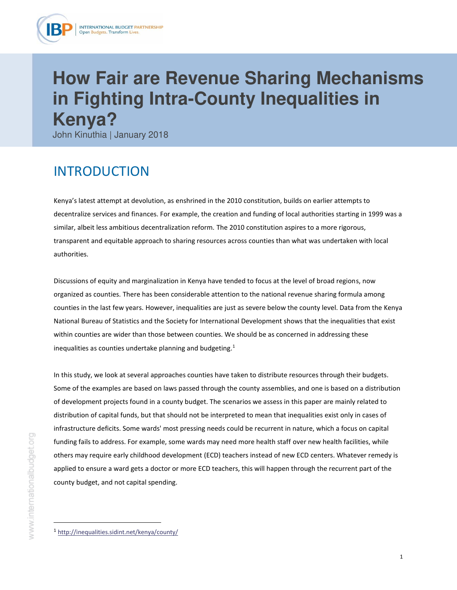

# **How Fair are Revenue Sharing Mechanisms in Fighting Intra-County Inequalities in Kenya?**

John Kinuthia | January 2018

# INTRODUCTION

Kenya's latest attempt at devolution, as enshrined in the 2010 constitution, builds on earlier attempts to decentralize services and finances. For example, the creation and funding of local authorities starting in 1999 was a similar, albeit less ambitious decentralization reform. The 2010 constitution aspires to a more rigorous, transparent and equitable approach to sharing resources across counties than what was undertaken with local authorities.

Discussions of equity and marginalization in Kenya have tended to focus at the level of broad regions, now organized as counties. There has been considerable attention to the national revenue sharing formula among counties in the last few years. However, inequalities are just as severe below the county level. Data from the Kenya National Bureau of Statistics and the Society for International Development shows that the inequalities that exist within counties are wider than those between counties. We should be as concerned in addressing these inequalities as counties undertake planning and budgeting.<sup>1</sup>

In this study, we look at several approaches counties have taken to distribute resources through their budgets. Some of the examples are based on laws passed through the county assemblies, and one is based on a distribution of development projects found in a county budget. The scenarios we assess in this paper are mainly related to distribution of capital funds, but that should not be interpreted to mean that inequalities exist only in cases of infrastructure deficits. Some wards' most pressing needs could be recurrent in nature, which a focus on capital funding fails to address. For example, some wards may need more health staff over new health facilities, while others may require early childhood development (ECD) teachers instead of new ECD centers. Whatever remedy is applied to ensure a ward gets a doctor or more ECD teachers, this will happen through the recurrent part of the county budget, and not capital spending.

į.

<sup>1</sup> <http://inequalities.sidint.net/kenya/county/>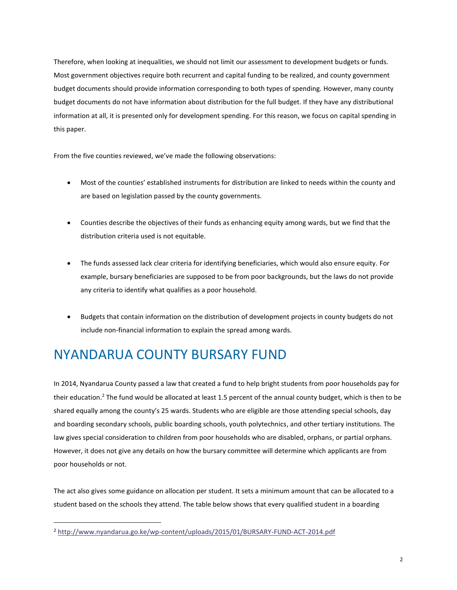Therefore, when looking at inequalities, we should not limit our assessment to development budgets or funds. Most government objectives require both recurrent and capital funding to be realized, and county government budget documents should provide information corresponding to both types of spending. However, many county budget documents do not have information about distribution for the full budget. If they have any distributional information at all, it is presented only for development spending. For this reason, we focus on capital spending in this paper.

From the five counties reviewed, we've made the following observations:

- Most of the counties' established instruments for distribution are linked to needs within the county and are based on legislation passed by the county governments.
- Counties describe the objectives of their funds as enhancing equity among wards, but we find that the distribution criteria used is not equitable.
- The funds assessed lack clear criteria for identifying beneficiaries, which would also ensure equity. For example, bursary beneficiaries are supposed to be from poor backgrounds, but the laws do not provide any criteria to identify what qualifies as a poor household.
- Budgets that contain information on the distribution of development projects in county budgets do not include non-financial information to explain the spread among wards.

# NYANDARUA COUNTY BURSARY FUND

In 2014, Nyandarua County passed a law that created a fund to help bright students from poor households pay for their education.<sup>2</sup> The fund would be allocated at least 1.5 percent of the annual county budget, which is then to be shared equally among the county's 25 wards. Students who are eligible are those attending special schools, day and boarding secondary schools, public boarding schools, youth polytechnics, and other tertiary institutions. The law gives special consideration to children from poor households who are disabled, orphans, or partial orphans. However, it does not give any details on how the bursary committee will determine which applicants are from poor households or not.

The act also gives some guidance on allocation per student. It sets a minimum amount that can be allocated to a student based on the schools they attend. The table below shows that every qualified student in a boarding

į.

<sup>2</sup> <http://www.nyandarua.go.ke/wp-content/uploads/2015/01/BURSARY-FUND-ACT-2014.pdf>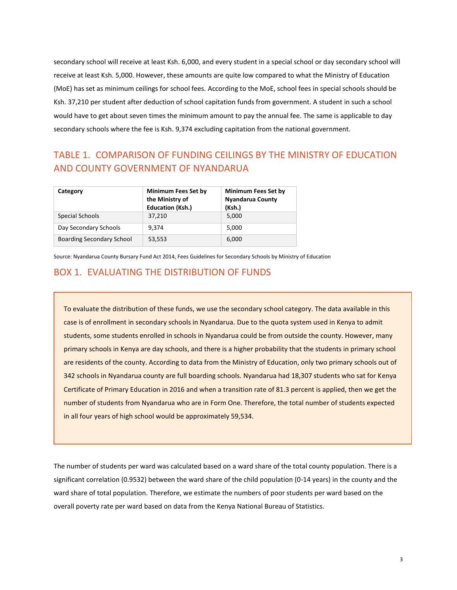secondary school will receive at least Ksh. 6,000, and every student in a special school or day secondary school will receive at least Ksh. 5,000. However, these amounts are quite low compared to what the Ministry of Education (MoE) has set as minimum ceilings for school fees. According to the MoE, school fees in special schools should be Ksh. 37,210 per student after deduction of school capitation funds from government. A student in such a school would have to get about seven times the minimum amount to pay the annual fee. The same is applicable to day secondary schools where the fee is Ksh. 9,374 excluding capitation from the national government.

### TABLE 1. COMPARISON OF FUNDING CEILINGS BY THE MINISTRY OF EDUCATION AND COUNTY GOVERNMENT OF NYANDARUA

| Category                         | <b>Minimum Fees Set by</b><br>the Ministry of<br><b>Education (Ksh.)</b> | <b>Minimum Fees Set by</b><br><b>Nyandarua County</b><br>(Ksh.) |  |  |
|----------------------------------|--------------------------------------------------------------------------|-----------------------------------------------------------------|--|--|
| Special Schools                  | 37,210                                                                   | 5.000                                                           |  |  |
| Day Secondary Schools            | 9.374                                                                    | 5.000                                                           |  |  |
| <b>Boarding Secondary School</b> | 53,553                                                                   | 6,000                                                           |  |  |

Source: Nyandarua County Bursary Fund Act 2014, Fees Guidelines for Secondary Schools by Ministry of Education

#### BOX 1. EVALUATING THE DISTRIBUTION OF FUNDS

To evaluate the distribution of these funds, we use the secondary school category. The data available in this case is of enrollment in secondary schools in Nyandarua. Due to the quota system used in Kenya to admit students, some students enrolled in schools in Nyandarua could be from outside the county. However, many primary schools in Kenya are day schools, and there is a higher probability that the students in primary school are residents of the county. According to data from the Ministry of Education, only two primary schools out of 342 schools in Nyandarua county are full boarding schools. Nyandarua had 18,307 students who sat for Kenya Certificate of Primary Education in 2016 and when a transition rate of 81.3 percent is applied, then we get the number of students from Nyandarua who are in Form One. Therefore, the total number of students expected in all four years of high school would be approximately 59,534.

The number of students per ward was calculated based on a ward share of the total county population. There is a significant correlation (0.9532) between the ward share of the child population (0-14 years) in the county and the ward share of total population. Therefore, we estimate the numbers of poor students per ward based on the overall poverty rate per ward based on data from the Kenya National Bureau of Statistics.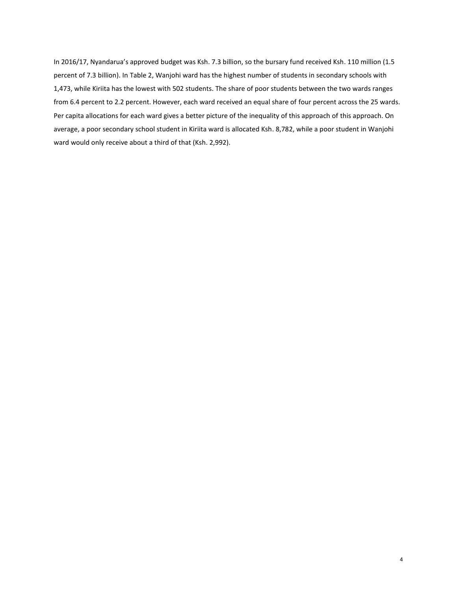In 2016/17, Nyandarua's approved budget was Ksh. 7.3 billion, so the bursary fund received Ksh. 110 million (1.5 percent of 7.3 billion). In Table 2, Wanjohi ward has the highest number of students in secondary schools with 1,473, while Kiriita has the lowest with 502 students. The share of poor students between the two wards ranges from 6.4 percent to 2.2 percent. However, each ward received an equal share of four percent across the 25 wards. Per capita allocations for each ward gives a better picture of the inequality of this approach of this approach. On average, a poor secondary school student in Kiriita ward is allocated Ksh. 8,782, while a poor student in Wanjohi ward would only receive about a third of that (Ksh. 2,992).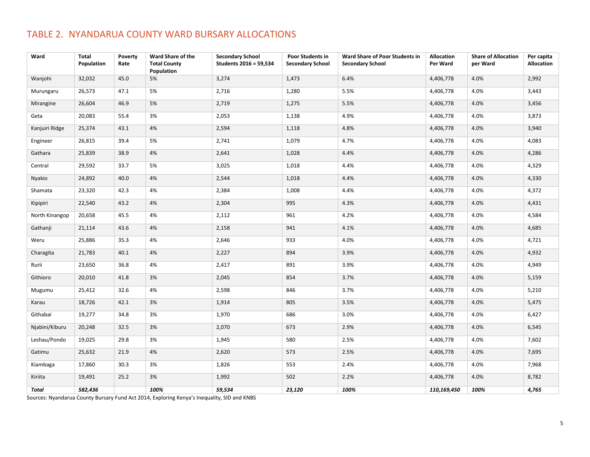### TABLE 2. NYANDARUA COUNTY WARD BURSARY ALLOCATIONS

| Ward           | <b>Total</b><br>Population | Poverty<br>Rate | Ward Share of the<br><b>Total County</b><br>Population | <b>Secondary School</b><br>Students 2016 = 59,534 | Poor Students in<br><b>Secondary School</b> | Ward Share of Poor Students in<br><b>Secondary School</b> | <b>Allocation</b><br>Per Ward | <b>Share of Allocation</b><br>per Ward | Per capita<br><b>Allocation</b> |
|----------------|----------------------------|-----------------|--------------------------------------------------------|---------------------------------------------------|---------------------------------------------|-----------------------------------------------------------|-------------------------------|----------------------------------------|---------------------------------|
| Wanjohi        | 32,032                     | 45.0            | 5%                                                     | 3,274                                             | 1,473                                       | 6.4%                                                      | 4,406,778                     | 4.0%                                   | 2,992                           |
| Murungaru      | 26,573                     | 47.1            | 5%                                                     | 2,716                                             | 1,280                                       | 5.5%                                                      | 4,406,778                     | 4.0%                                   | 3,443                           |
| Mirangine      | 26,604                     | 46.9            | 5%                                                     | 2,719                                             | 1,275                                       | 5.5%                                                      | 4,406,778                     | 4.0%                                   | 3,456                           |
| Geta           | 20,083                     | 55.4            | 3%                                                     | 2,053                                             | 1,138                                       | 4.9%                                                      | 4,406,778                     | 4.0%                                   | 3,873                           |
| Kanjuiri Ridge | 25,374                     | 43.1            | 4%                                                     | 2,594                                             | 1,118                                       | 4.8%                                                      | 4,406,778                     | 4.0%                                   | 3,940                           |
| Engineer       | 26,815                     | 39.4            | 5%                                                     | 2,741                                             | 1,079                                       | 4.7%                                                      | 4,406,778                     | 4.0%                                   | 4,083                           |
| Gathara        | 25,839                     | 38.9            | 4%                                                     | 2,641                                             | 1,028                                       | 4.4%                                                      | 4,406,778                     | 4.0%                                   | 4,286                           |
| Central        | 29,592                     | 33.7            | 5%                                                     | 3,025                                             | 1,018                                       | 4.4%                                                      | 4,406,778                     | 4.0%                                   | 4,329                           |
| Nyakio         | 24,892                     | 40.0            | 4%                                                     | 2,544                                             | 1,018                                       | 4.4%                                                      | 4,406,778                     | 4.0%                                   | 4,330                           |
| Shamata        | 23,320                     | 42.3            | 4%                                                     | 2,384                                             | 1,008                                       | 4.4%                                                      | 4,406,778                     | 4.0%                                   | 4,372                           |
| Kipipiri       | 22,540                     | 43.2            | 4%                                                     | 2,304                                             | 995                                         | 4.3%                                                      | 4,406,778                     | 4.0%                                   | 4,431                           |
| North Kinangop | 20,658                     | 45.5            | 4%                                                     | 2,112                                             | 961                                         | 4.2%                                                      | 4,406,778                     | 4.0%                                   | 4,584                           |
| Gathanji       | 21,114                     | 43.6            | 4%                                                     | 2,158                                             | 941                                         | 4.1%                                                      | 4,406,778                     | 4.0%                                   | 4,685                           |
| Weru           | 25,886                     | 35.3            | 4%                                                     | 2,646                                             | 933                                         | 4.0%                                                      | 4,406,778                     | 4.0%                                   | 4,721                           |
| Charagita      | 21,783                     | 40.1            | 4%                                                     | 2,227                                             | 894                                         | 3.9%                                                      | 4,406,778                     | 4.0%                                   | 4,932                           |
| Rurii          | 23,650                     | 36.8            | 4%                                                     | 2,417                                             | 891                                         | 3.9%                                                      | 4,406,778                     | 4.0%                                   | 4,949                           |
| Githioro       | 20,010                     | 41.8            | 3%                                                     | 2,045                                             | 854                                         | 3.7%                                                      | 4,406,778                     | 4.0%                                   | 5,159                           |
| Mugumu         | 25,412                     | 32.6            | 4%                                                     | 2,598                                             | 846                                         | 3.7%                                                      | 4,406,778                     | 4.0%                                   | 5,210                           |
| Karau          | 18,726                     | 42.1            | 3%                                                     | 1,914                                             | 805                                         | 3.5%                                                      | 4,406,778                     | 4.0%                                   | 5,475                           |
| Githabai       | 19,277                     | 34.8            | 3%                                                     | 1,970                                             | 686                                         | 3.0%                                                      | 4,406,778                     | 4.0%                                   | 6,427                           |
| Njabini/Kiburu | 20,248                     | 32.5            | 3%                                                     | 2,070                                             | 673                                         | 2.9%                                                      | 4,406,778                     | 4.0%                                   | 6,545                           |
| Leshau/Pondo   | 19,025                     | 29.8            | 3%                                                     | 1,945                                             | 580                                         | 2.5%                                                      | 4,406,778                     | 4.0%                                   | 7,602                           |
| Gatimu         | 25,632                     | 21.9            | 4%                                                     | 2,620                                             | 573                                         | 2.5%                                                      | 4,406,778                     | 4.0%                                   | 7,695                           |
| Kiambaga       | 17,860                     | 30.3            | 3%                                                     | 1,826                                             | 553                                         | 2.4%                                                      | 4,406,778                     | 4.0%                                   | 7,968                           |
| Kiriita        | 19,491                     | 25.2            | 3%                                                     | 1,992                                             | 502                                         | 2.2%                                                      | 4,406,778                     | 4.0%                                   | 8,782                           |
| Total          | 582,436                    |                 | 100%                                                   | 59,534                                            | 23,120                                      | 100%                                                      | 110,169,450                   | 100%                                   | 4,765                           |

Sources: Nyandarua County Bursary Fund Act 2014, Exploring Kenya's Inequality, SID and KNBS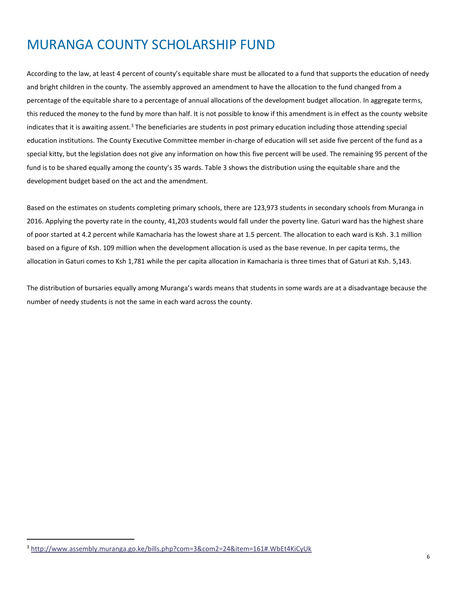# MURANGA COUNTY SCHOLARSHIP FUND

According to the law, at least 4 percent of county's equitable share must be allocated to a fund that supports the education of needy and bright children in the county. The assembly approved an amendment to have the allocation to the fund changed from a percentage of the equitable share to a percentage of annual allocations of the development budget allocation. In aggregate terms, this reduced the money to the fund by more than half. It is not possible to know if this amendment is in effect as the county website indicates that it is awaiting assent.<sup>3</sup> The beneficiaries are students in post primary education including those attending special education institutions. The County Executive Committee member in-charge of education will set aside five percent of the fund as a special kitty, but the legislation does not give any information on how this five percent will be used. The remaining 95 percent of the fund is to be shared equally among the county's 35 wards. Table 3 shows the distribution using the equitable share and the development budget based on the act and the amendment.

Based on the estimates on students completing primary schools, there are 123,973 students in secondary schools from Muranga in 2016. Applying the poverty rate in the county, 41,203 students would fall under the poverty line. Gaturi ward has the highest share of poor started at 4.2 percent while Kamacharia has the lowest share at 1.5 percent. The allocation to each ward is Ksh. 3.1 million based on a figure of Ksh. 109 million when the development allocation is used as the base revenue. In per capita terms, the allocation in Gaturi comes to Ksh 1,781 while the per capita allocation in Kamacharia is three times that of Gaturi at Ksh. 5,143.

The distribution of bursaries equally among Muranga's wards means that students in some wards are at a disadvantage because the number of needy students is not the same in each ward across the county.

 $\overline{\phantom{0}}$ 

<sup>3</sup> <http://www.assembly.muranga.go.ke/bills.php?com=3&com2=24&item=161#.WbEt4KiCyUk>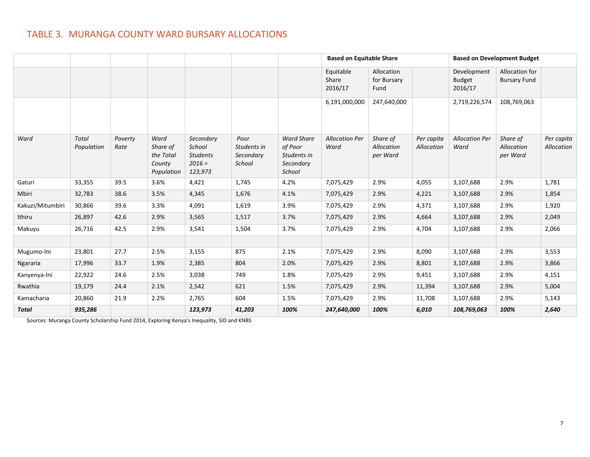### TABLE 3. MURANGA COUNTY WARD BURSARY ALLOCATIONS

|                  |                            |                 |                                                       |                                                               |                                            |                                                                    |                               | <b>Based on Equitable Share</b>    |                          | <b>Based on Development Budget</b>      |                                       |                          |
|------------------|----------------------------|-----------------|-------------------------------------------------------|---------------------------------------------------------------|--------------------------------------------|--------------------------------------------------------------------|-------------------------------|------------------------------------|--------------------------|-----------------------------------------|---------------------------------------|--------------------------|
|                  |                            |                 |                                                       |                                                               |                                            |                                                                    | Equitable<br>Share<br>2016/17 | Allocation<br>for Bursary<br>Fund  |                          | Development<br><b>Budget</b><br>2016/17 | Allocation for<br><b>Bursary Fund</b> |                          |
|                  |                            |                 |                                                       |                                                               |                                            |                                                                    | 6,191,000,000                 | 247,640,000                        |                          | 2,719,226,574                           | 108,769,063                           |                          |
| Ward             | <b>Total</b><br>Population | Poverty<br>Rate | Ward<br>Share of<br>the Total<br>County<br>Population | Secondary<br>School<br><b>Students</b><br>$2016 =$<br>123,973 | Poor<br>Students in<br>Secondary<br>School | <b>Ward Share</b><br>of Poor<br>Students in<br>Secondary<br>School | <b>Allocation Per</b><br>Ward | Share of<br>Allocation<br>per Ward | Per capita<br>Allocation | <b>Allocation Per</b><br>Ward           | Share of<br>Allocation<br>per Ward    | Per capita<br>Allocation |
| Gaturi           | 33,355                     | 39.5            | 3.6%                                                  | 4,421                                                         | 1,745                                      | 4.2%                                                               | 7,075,429                     | 2.9%                               | 4,055                    | 3,107,688                               | 2.9%                                  | 1,781                    |
| Mbiri            | 32,783                     | 38.6            | 3.5%                                                  | 4,345                                                         | 1,676                                      | 4.1%                                                               | 7,075,429                     | 2.9%                               | 4,221                    | 3,107,688                               | 2.9%                                  | 1,854                    |
| Kakuzi/Mitumbiri | 30,866                     | 39.6            | 3.3%                                                  | 4,091                                                         | 1,619                                      | 3.9%                                                               | 7,075,429                     | 2.9%                               | 4,371                    | 3,107,688                               | 2.9%                                  | 1,920                    |
| Ithiru           | 26,897                     | 42.6            | 2.9%                                                  | 3,565                                                         | 1,517                                      | 3.7%                                                               | 7,075,429                     | 2.9%                               | 4,664                    | 3,107,688                               | 2.9%                                  | 2,049                    |
| Makuyu           | 26,716                     | 42.5            | 2.9%                                                  | 3,541                                                         | 1,504                                      | 3.7%                                                               | 7,075,429                     | 2.9%                               | 4,704                    | 3,107,688                               | 2.9%                                  | 2,066                    |
|                  |                            |                 |                                                       |                                                               |                                            |                                                                    |                               |                                    |                          |                                         |                                       |                          |
| Mugumo-Ini       | 23,801                     | 27.7            | 2.5%                                                  | 3,155                                                         | 875                                        | 2.1%                                                               | 7,075,429                     | 2.9%                               | 8,090                    | 3,107,688                               | 2.9%                                  | 3,553                    |
| Ngararia         | 17,996                     | 33.7            | 1.9%                                                  | 2,385                                                         | 804                                        | 2.0%                                                               | 7,075,429                     | 2.9%                               | 8,801                    | 3,107,688                               | 2.9%                                  | 3,866                    |
| Kanyenya-Ini     | 22,922                     | 24.6            | 2.5%                                                  | 3,038                                                         | 749                                        | 1.8%                                                               | 7,075,429                     | 2.9%                               | 9,451                    | 3,107,688                               | 2.9%                                  | 4,151                    |
| Rwathia          | 19,179                     | 24.4            | 2.1%                                                  | 2,542                                                         | 621                                        | 1.5%                                                               | 7,075,429                     | 2.9%                               | 11,394                   | 3,107,688                               | 2.9%                                  | 5,004                    |
| Kamacharia       | 20,860                     | 21.9            | 2.2%                                                  | 2,765                                                         | 604                                        | 1.5%                                                               | 7,075,429                     | 2.9%                               | 11,708                   | 3,107,688                               | 2.9%                                  | 5,143                    |
| Total            | 935,286                    |                 |                                                       | 123,973                                                       | 41,203                                     | 100%                                                               | 247,640,000                   | 100%                               | 6,010                    | 108,769,063                             | 100%                                  | 2,640                    |

Sources: Muranga County Scholarship Fund 2014, Exploring Kenya's Inequality, SID and KNBS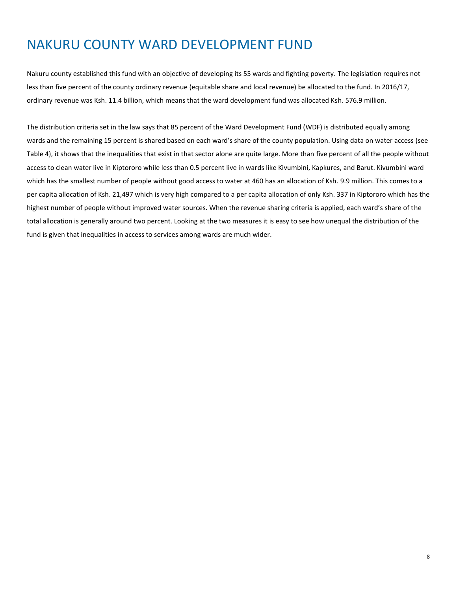# NAKURU COUNTY WARD DEVELOPMENT FUND

Nakuru county established this fund with an objective of developing its 55 wards and fighting poverty. The legislation requires not less than five percent of the county ordinary revenue (equitable share and local revenue) be allocated to the fund. In 2016/17, ordinary revenue was Ksh. 11.4 billion, which means that the ward development fund was allocated Ksh. 576.9 million.

The distribution criteria set in the law says that 85 percent of the Ward Development Fund (WDF) is distributed equally among wards and the remaining 15 percent is shared based on each ward's share of the county population. Using data on water access (see Table 4), it shows that the inequalities that exist in that sector alone are quite large. More than five percent of all the people without access to clean water live in Kiptororo while less than 0.5 percent live in wards like Kivumbini, Kapkures, and Barut. Kivumbini ward which has the smallest number of people without good access to water at 460 has an allocation of Ksh. 9.9 million. This comes to a per capita allocation of Ksh. 21,497 which is very high compared to a per capita allocation of only Ksh. 337 in Kiptororo which has the highest number of people without improved water sources. When the revenue sharing criteria is applied, each ward's share of the total allocation is generally around two percent. Looking at the two measures it is easy to see how unequal the distribution of the fund is given that inequalities in access to services among wards are much wider.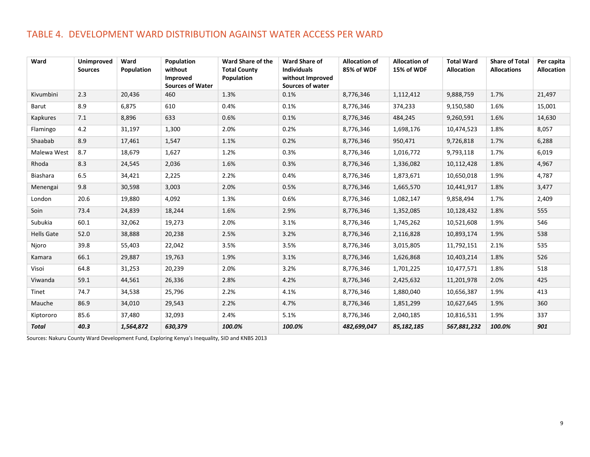### TABLE 4. DEVELOPMENT WARD DISTRIBUTION AGAINST WATER ACCESS PER WARD

| Ward              | <b>Unimproved</b><br><b>Sources</b> | Ward<br>Population | Population<br>without<br>Improved<br><b>Sources of Water</b> | <b>Ward Share of the</b><br><b>Total County</b><br>Population | <b>Ward Share of</b><br><b>Individuals</b><br>without Improved<br>Sources of water | <b>Allocation of</b><br>85% of WDF | <b>Allocation of</b><br>15% of WDF | <b>Total Ward</b><br><b>Allocation</b> | <b>Share of Total</b><br><b>Allocations</b> | Per capita<br><b>Allocation</b> |
|-------------------|-------------------------------------|--------------------|--------------------------------------------------------------|---------------------------------------------------------------|------------------------------------------------------------------------------------|------------------------------------|------------------------------------|----------------------------------------|---------------------------------------------|---------------------------------|
| Kivumbini         | 2.3                                 | 20,436             | 460                                                          | 1.3%                                                          | 0.1%                                                                               | 8,776,346                          | 1,112,412                          | 9,888,759                              | 1.7%                                        | 21,497                          |
| Barut             | 8.9                                 | 6,875              | 610                                                          | 0.4%                                                          | 0.1%                                                                               | 8,776,346                          | 374,233                            | 9,150,580                              | 1.6%                                        | 15,001                          |
| Kapkures          | 7.1                                 | 8,896              | 633                                                          | 0.6%                                                          | 0.1%                                                                               | 8,776,346                          | 484,245                            | 9,260,591                              | 1.6%                                        | 14,630                          |
| Flamingo          | 4.2                                 | 31,197             | 1,300                                                        | 2.0%                                                          | 0.2%                                                                               | 8,776,346                          | 1,698,176                          | 10,474,523                             | 1.8%                                        | 8,057                           |
| Shaabab           | 8.9                                 | 17,461             | 1,547                                                        | 1.1%                                                          | 0.2%                                                                               | 8,776,346                          | 950,471                            | 9,726,818                              | 1.7%                                        | 6,288                           |
| Malewa West       | 8.7                                 | 18,679             | 1,627                                                        | 1.2%                                                          | 0.3%                                                                               | 8,776,346                          | 1,016,772                          | 9,793,118                              | 1.7%                                        | 6,019                           |
| Rhoda             | 8.3                                 | 24,545             | 2,036                                                        | 1.6%                                                          | 0.3%                                                                               | 8,776,346                          | 1,336,082                          | 10,112,428                             | 1.8%                                        | 4,967                           |
| Biashara          | 6.5                                 | 34,421             | 2,225                                                        | 2.2%                                                          | 0.4%                                                                               | 8,776,346                          | 1,873,671                          | 10,650,018                             | 1.9%                                        | 4,787                           |
| Menengai          | 9.8                                 | 30,598             | 3,003                                                        | 2.0%                                                          | 0.5%                                                                               | 8,776,346                          | 1,665,570                          | 10,441,917                             | 1.8%                                        | 3,477                           |
| London            | 20.6                                | 19,880             | 4,092                                                        | 1.3%                                                          | 0.6%                                                                               | 8,776,346                          | 1,082,147                          | 9,858,494                              | 1.7%                                        | 2,409                           |
| Soin              | 73.4                                | 24,839             | 18,244                                                       | 1.6%                                                          | 2.9%                                                                               | 8,776,346                          | 1,352,085                          | 10,128,432                             | 1.8%                                        | 555                             |
| Subukia           | 60.1                                | 32,062             | 19,273                                                       | 2.0%                                                          | 3.1%                                                                               | 8,776,346                          | 1,745,262                          | 10,521,608                             | 1.9%                                        | 546                             |
| <b>Hells Gate</b> | 52.0                                | 38,888             | 20,238                                                       | 2.5%                                                          | 3.2%                                                                               | 8,776,346                          | 2,116,828                          | 10,893,174                             | 1.9%                                        | 538                             |
| Njoro             | 39.8                                | 55,403             | 22,042                                                       | 3.5%                                                          | 3.5%                                                                               | 8,776,346                          | 3,015,805                          | 11,792,151                             | 2.1%                                        | 535                             |
| Kamara            | 66.1                                | 29,887             | 19,763                                                       | 1.9%                                                          | 3.1%                                                                               | 8,776,346                          | 1,626,868                          | 10,403,214                             | 1.8%                                        | 526                             |
| Visoi             | 64.8                                | 31,253             | 20,239                                                       | 2.0%                                                          | 3.2%                                                                               | 8,776,346                          | 1,701,225                          | 10,477,571                             | 1.8%                                        | 518                             |
| Viwanda           | 59.1                                | 44,561             | 26,336                                                       | 2.8%                                                          | 4.2%                                                                               | 8,776,346                          | 2,425,632                          | 11,201,978                             | 2.0%                                        | 425                             |
| Tinet             | 74.7                                | 34,538             | 25,796                                                       | 2.2%                                                          | 4.1%                                                                               | 8,776,346                          | 1,880,040                          | 10,656,387                             | 1.9%                                        | 413                             |
| Mauche            | 86.9                                | 34,010             | 29,543                                                       | 2.2%                                                          | 4.7%                                                                               | 8,776,346                          | 1,851,299                          | 10,627,645                             | 1.9%                                        | 360                             |
| Kiptororo         | 85.6                                | 37,480             | 32,093                                                       | 2.4%                                                          | 5.1%                                                                               | 8,776,346                          | 2,040,185                          | 10,816,531                             | 1.9%                                        | 337                             |
| <b>Total</b>      | 40.3                                | 1,564,872          | 630,379                                                      | 100.0%                                                        | 100.0%                                                                             | 482,699,047                        | 85,182,185                         | 567,881,232                            | 100.0%                                      | 901                             |

Sources: Nakuru County Ward Development Fund, Exploring Kenya's Inequality, SID and KNBS 2013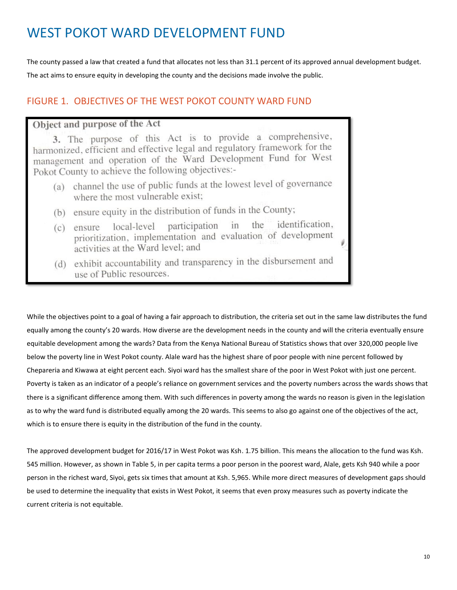## WEST POKOT WARD DEVELOPMENT FUND

The county passed a law that created a fund that allocates not less than 31.1 percent of its approved annual development budget. The act aims to ensure equity in developing the county and the decisions made involve the public.

#### FIGURE 1. OBJECTIVES OF THE WEST POKOT COUNTY WARD FUND

#### Object and purpose of the Act

3. The purpose of this Act is to provide a comprehensive, harmonized, efficient and effective legal and regulatory framework for the management and operation of the Ward Development Fund for West Pokot County to achieve the following objectives:-

- (a) channel the use of public funds at the lowest level of governance where the most vulnerable exist;
- (b) ensure equity in the distribution of funds in the County;
- (c) ensure local-level participation identification. in the prioritization, implementation and evaluation of development activities at the Ward level; and
- (d) exhibit accountability and transparency in the disbursement and use of Public resources.

While the objectives point to a goal of having a fair approach to distribution, the criteria set out in the same law distributes the fund equally among the county's 20 wards. How diverse are the development needs in the county and will the criteria eventually ensure equitable development among the wards? Data from the Kenya National Bureau of Statistics shows that over 320,000 people live below the poverty line in West Pokot county. Alale ward has the highest share of poor people with nine percent followed by Chepareria and Kiwawa at eight percent each. Siyoi ward has the smallest share of the poor in West Pokot with just one percent. Poverty is taken as an indicator of a people's reliance on government services and the poverty numbers across the wards shows that there is a significant difference among them. With such differences in poverty among the wards no reason is given in the legislation as to why the ward fund is distributed equally among the 20 wards. This seems to also go against one of the objectives of the act, which is to ensure there is equity in the distribution of the fund in the county.

The approved development budget for 2016/17 in West Pokot was Ksh. 1.75 billion. This means the allocation to the fund was Ksh. 545 million. However, as shown in Table 5, in per capita terms a poor person in the poorest ward, Alale, gets Ksh 940 while a poor person in the richest ward, Siyoi, gets six times that amount at Ksh. 5,965. While more direct measures of development gaps should be used to determine the inequality that exists in West Pokot, it seems that even proxy measures such as poverty indicate the current criteria is not equitable.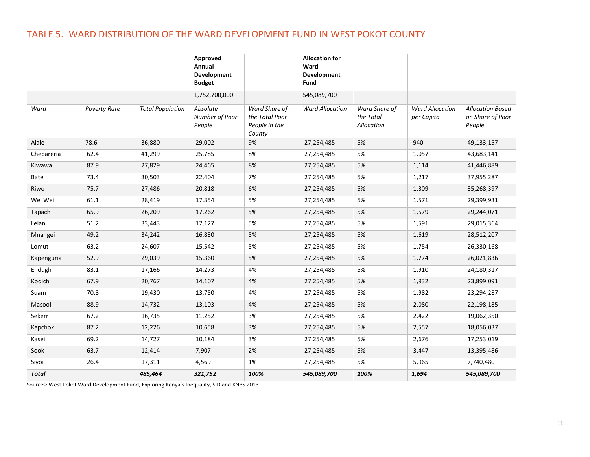### TABLE 5. WARD DISTRIBUTION OF THE WARD DEVELOPMENT FUND IN WEST POKOT COUNTY

|              |                     |                         | Approved<br>Annual<br>Development    |                                                            | <b>Allocation for</b><br>Ward<br>Development |                                          |                                      |                                                       |
|--------------|---------------------|-------------------------|--------------------------------------|------------------------------------------------------------|----------------------------------------------|------------------------------------------|--------------------------------------|-------------------------------------------------------|
|              |                     |                         | <b>Budget</b>                        |                                                            | Fund                                         |                                          |                                      |                                                       |
|              |                     |                         | 1,752,700,000                        |                                                            | 545,089,700                                  |                                          |                                      |                                                       |
| Ward         | <b>Poverty Rate</b> | <b>Total Population</b> | Absolute<br>Number of Poor<br>People | Ward Share of<br>the Total Poor<br>People in the<br>County | <b>Ward Allocation</b>                       | Ward Share of<br>the Total<br>Allocation | <b>Ward Allocation</b><br>per Capita | <b>Allocation Based</b><br>on Share of Poor<br>People |
| Alale        | 78.6                | 36,880                  | 29,002                               | 9%                                                         | 27,254,485                                   | 5%                                       | 940                                  | 49,133,157                                            |
| Chepareria   | 62.4                | 41,299                  | 25,785                               | 8%                                                         | 27,254,485                                   | 5%                                       | 1,057                                | 43,683,141                                            |
| Kiwawa       | 87.9                | 27,829                  | 24,465                               | 8%                                                         | 27,254,485                                   | 5%                                       | 1,114                                | 41,446,889                                            |
| Batei        | 73.4                | 30,503                  | 22,404                               | 7%                                                         | 27,254,485                                   | 5%                                       | 1,217                                | 37,955,287                                            |
| Riwo         | 75.7                | 27,486                  | 20,818                               | 6%                                                         | 27,254,485                                   | 5%                                       | 1,309                                | 35,268,397                                            |
| Wei Wei      | 61.1                | 28,419                  | 17,354                               | 5%                                                         | 27,254,485                                   | 5%                                       | 1,571                                | 29,399,931                                            |
| Tapach       | 65.9                | 26,209                  | 17,262                               | 5%                                                         | 27,254,485                                   | 5%                                       | 1,579                                | 29,244,071                                            |
| Lelan        | 51.2                | 33,443                  | 17,127                               | 5%                                                         | 27,254,485                                   | 5%                                       | 1,591                                | 29,015,364                                            |
| Mnangei      | 49.2                | 34,242                  | 16,830                               | 5%                                                         | 27,254,485                                   | 5%                                       | 1,619                                | 28,512,207                                            |
| Lomut        | 63.2                | 24,607                  | 15,542                               | 5%                                                         | 27,254,485                                   | 5%                                       | 1,754                                | 26,330,168                                            |
| Kapenguria   | 52.9                | 29,039                  | 15,360                               | 5%                                                         | 27,254,485                                   | 5%                                       | 1,774                                | 26,021,836                                            |
| Endugh       | 83.1                | 17,166                  | 14,273                               | 4%                                                         | 27,254,485                                   | 5%                                       | 1,910                                | 24,180,317                                            |
| Kodich       | 67.9                | 20,767                  | 14,107                               | 4%                                                         | 27,254,485                                   | 5%                                       | 1,932                                | 23,899,091                                            |
| Suam         | 70.8                | 19,430                  | 13,750                               | 4%                                                         | 27,254,485                                   | 5%                                       | 1,982                                | 23,294,287                                            |
| Masool       | 88.9                | 14,732                  | 13,103                               | 4%                                                         | 27,254,485                                   | 5%                                       | 2,080                                | 22,198,185                                            |
| Sekerr       | 67.2                | 16,735                  | 11,252                               | 3%                                                         | 27,254,485                                   | 5%                                       | 2,422                                | 19,062,350                                            |
| Kapchok      | 87.2                | 12,226                  | 10,658                               | $3%$                                                       | 27,254,485                                   | 5%                                       | 2,557                                | 18,056,037                                            |
| Kasei        | 69.2                | 14,727                  | 10,184                               | 3%                                                         | 27,254,485                                   | 5%                                       | 2,676                                | 17,253,019                                            |
| Sook         | 63.7                | 12,414                  | 7,907                                | 2%                                                         | 27,254,485                                   | 5%                                       | 3,447                                | 13,395,486                                            |
| Siyoi        | 26.4                | 17,311                  | 4,569                                | 1%                                                         | 27,254,485                                   | 5%                                       | 5,965                                | 7,740,480                                             |
| <b>Total</b> |                     | 485,464                 | 321,752                              | 100%                                                       | 545,089,700                                  | 100%                                     | 1,694                                | 545,089,700                                           |

Sources: West Pokot Ward Development Fund, Exploring Kenya's Inequality, SID and KNBS 2013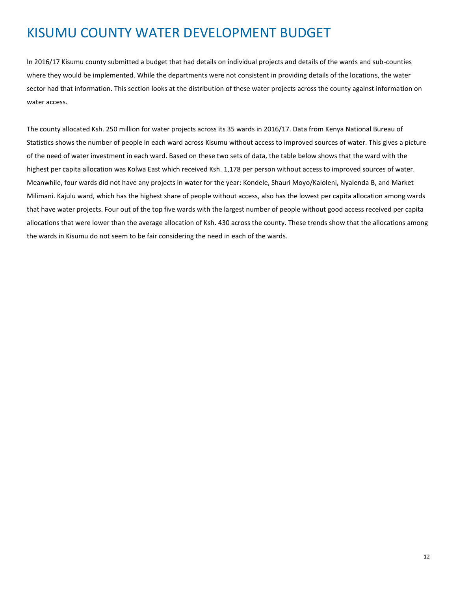# KISUMU COUNTY WATER DEVELOPMENT BUDGET

In 2016/17 Kisumu county submitted a budget that had details on individual projects and details of the wards and sub-counties where they would be implemented. While the departments were not consistent in providing details of the locations, the water sector had that information. This section looks at the distribution of these water projects across the county against information on water access.

The county allocated Ksh. 250 million for water projects across its 35 wards in 2016/17. Data from Kenya National Bureau of Statistics shows the number of people in each ward across Kisumu without access to improved sources of water. This gives a picture of the need of water investment in each ward. Based on these two sets of data, the table below shows that the ward with the highest per capita allocation was Kolwa East which received Ksh. 1,178 per person without access to improved sources of water. Meanwhile, four wards did not have any projects in water for the year: Kondele, Shauri Moyo/Kaloleni, Nyalenda B, and Market Milimani. Kajulu ward, which has the highest share of people without access, also has the lowest per capita allocation among wards that have water projects. Four out of the top five wards with the largest number of people without good access received per capita allocations that were lower than the average allocation of Ksh. 430 across the county. These trends show that the allocations among the wards in Kisumu do not seem to be fair considering the need in each of the wards.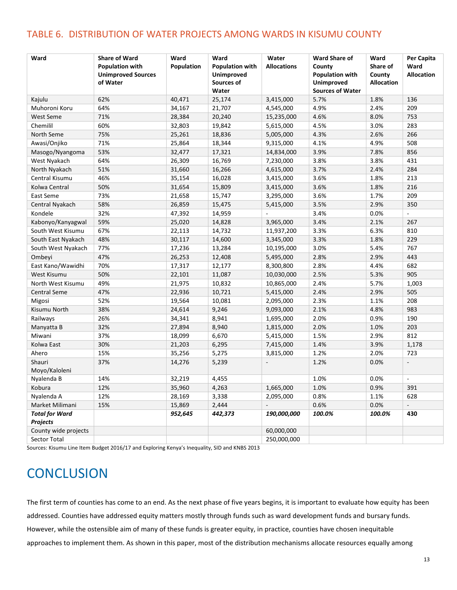#### TABLE 6. DISTRIBUTION OF WATER PROJECTS AMONG WARDS IN KISUMU COUNTY

| Ward                  | <b>Share of Ward</b><br><b>Population with</b><br><b>Unimproved Sources</b><br>of Water | Ward<br>Population | Ward<br><b>Population with</b><br><b>Unimproved</b><br>Sources of<br>Water | Water<br><b>Allocations</b> | <b>Ward Share of</b><br>County<br><b>Population with</b><br><b>Unimproved</b><br><b>Sources of Water</b> | Ward<br>Share of<br>County<br><b>Allocation</b> | Per Capita<br>Ward<br><b>Allocation</b> |
|-----------------------|-----------------------------------------------------------------------------------------|--------------------|----------------------------------------------------------------------------|-----------------------------|----------------------------------------------------------------------------------------------------------|-------------------------------------------------|-----------------------------------------|
| Kajulu                | 62%                                                                                     | 40,471             | 25,174                                                                     | 3,415,000                   | 5.7%                                                                                                     | 1.8%                                            | 136                                     |
| Muhoroni Koru         | 64%                                                                                     | 34,167             | 21,707                                                                     | 4,545,000                   | 4.9%                                                                                                     | 2.4%                                            | 209                                     |
| West Seme             | 71%                                                                                     | 28,384             | 20,240                                                                     | 15,235,000                  | 4.6%                                                                                                     | 8.0%                                            | 753                                     |
| Chemilil              | 60%                                                                                     | 32,803             | 19,842                                                                     | 5,615,000                   | 4.5%                                                                                                     | 3.0%                                            | 283                                     |
| North Seme            | 75%                                                                                     | 25,261             | 18,836                                                                     | 5,005,000                   | 4.3%                                                                                                     | 2.6%                                            | 266                                     |
| Awasi/Onjiko          | 71%                                                                                     | 25,864             | 18,344                                                                     | 9,315,000                   | 4.1%                                                                                                     | 4.9%                                            | 508                                     |
| Masogo/Nyangoma       | 53%                                                                                     | 32,477             | 17,321                                                                     | 14,834,000                  | 3.9%                                                                                                     | 7.8%                                            | 856                                     |
| West Nyakach          | 64%                                                                                     | 26,309             | 16,769                                                                     | 7,230,000                   | 3.8%                                                                                                     | 3.8%                                            | 431                                     |
| North Nyakach         | 51%                                                                                     | 31,660             | 16,266                                                                     | 4,615,000                   | 3.7%                                                                                                     | 2.4%                                            | 284                                     |
| Central Kisumu        | 46%                                                                                     | 35,154             | 16,028                                                                     | 3,415,000                   | 3.6%                                                                                                     | 1.8%                                            | 213                                     |
| Kolwa Central         | 50%                                                                                     | 31,654             | 15,809                                                                     | 3,415,000                   | 3.6%                                                                                                     | 1.8%                                            | 216                                     |
| East Seme             | 73%                                                                                     | 21,658             | 15,747                                                                     | 3,295,000                   | 3.6%                                                                                                     | 1.7%                                            | 209                                     |
| Central Nyakach       | 58%                                                                                     | 26,859             | 15,475                                                                     | 5,415,000                   | 3.5%                                                                                                     | 2.9%                                            | 350                                     |
| Kondele               | 32%                                                                                     | 47,392             | 14,959                                                                     | $\sim$                      | 3.4%                                                                                                     | 0.0%                                            | $\mathbf{r}$                            |
| Kabonyo/Kanyagwal     | 59%                                                                                     | 25,020             | 14,828                                                                     | 3,965,000                   | 3.4%                                                                                                     | 2.1%                                            | 267                                     |
| South West Kisumu     | 67%                                                                                     | 22,113             | 14,732                                                                     | 11,937,200                  | 3.3%                                                                                                     | 6.3%                                            | 810                                     |
| South East Nyakach    | 48%                                                                                     | 30,117             | 14,600                                                                     | 3,345,000                   | 3.3%                                                                                                     | 1.8%                                            | 229                                     |
| South West Nyakach    | 77%                                                                                     | 17,236             | 13,284                                                                     | 10,195,000                  | 3.0%                                                                                                     | 5.4%                                            | 767                                     |
| Ombeyi                | 47%                                                                                     | 26,253             | 12,408                                                                     | 5,495,000                   | 2.8%                                                                                                     | 2.9%                                            | 443                                     |
| East Kano/Wawidhi     | 70%                                                                                     | 17,317             | 12,177                                                                     | 8,300,800                   | 2.8%                                                                                                     | 4.4%                                            | 682                                     |
| West Kisumu           | 50%                                                                                     | 22,101             | 11,087                                                                     | 10,030,000                  | 2.5%                                                                                                     | 5.3%                                            | 905                                     |
| North West Kisumu     | 49%                                                                                     | 21,975             | 10,832                                                                     | 10,865,000                  | 2.4%                                                                                                     | 5.7%                                            | 1,003                                   |
| <b>Central Seme</b>   | 47%                                                                                     | 22,936             | 10,721                                                                     | 5,415,000                   | 2.4%                                                                                                     | 2.9%                                            | 505                                     |
| Migosi                | 52%                                                                                     | 19,564             | 10,081                                                                     | 2,095,000                   | 2.3%                                                                                                     | 1.1%                                            | 208                                     |
| Kisumu North          | 38%                                                                                     | 24,614             | 9,246                                                                      | 9,093,000                   | 2.1%                                                                                                     | 4.8%                                            | 983                                     |
| Railways              | 26%                                                                                     | 34,341             | 8,941                                                                      | 1,695,000                   | 2.0%                                                                                                     | 0.9%                                            | 190                                     |
| Manyatta B            | 32%                                                                                     | 27,894             | 8,940                                                                      | 1,815,000                   | 2.0%                                                                                                     | 1.0%                                            | 203                                     |
| Miwani                | 37%                                                                                     | 18,099             | 6,670                                                                      | 5,415,000                   | 1.5%                                                                                                     | 2.9%                                            | 812                                     |
| Kolwa East            | 30%                                                                                     | 21,203             | 6,295                                                                      | 7,415,000                   | 1.4%                                                                                                     | 3.9%                                            | 1,178                                   |
| Ahero                 | 15%                                                                                     | 35,256             | 5,275                                                                      | 3,815,000                   | 1.2%                                                                                                     | 2.0%                                            | 723                                     |
| Shauri                | 37%                                                                                     | 14,276             | 5,239                                                                      | $\bar{a}$                   | 1.2%                                                                                                     | 0.0%                                            | $\blacksquare$                          |
| Moyo/Kaloleni         |                                                                                         |                    |                                                                            |                             |                                                                                                          |                                                 |                                         |
| Nyalenda B            | 14%                                                                                     | 32,219             | 4,455                                                                      |                             | 1.0%                                                                                                     | 0.0%                                            | $\blacksquare$                          |
| Kobura                | 12%                                                                                     | 35,960             | 4,263                                                                      | 1,665,000                   | 1.0%                                                                                                     | 0.9%                                            | 391                                     |
| Nyalenda A            | 12%                                                                                     | 28,169             | 3,338                                                                      | 2,095,000                   | 0.8%                                                                                                     | 1.1%                                            | 628                                     |
| Market Milimani       | 15%                                                                                     | 15,869             | 2,444                                                                      |                             | 0.6%                                                                                                     | 0.0%                                            |                                         |
| <b>Total for Ward</b> |                                                                                         | 952,645            | 442,373                                                                    | 190,000,000                 | 100.0%                                                                                                   | 100.0%                                          | 430                                     |
| Projects              |                                                                                         |                    |                                                                            |                             |                                                                                                          |                                                 |                                         |
| County wide projects  |                                                                                         |                    |                                                                            | 60,000,000                  |                                                                                                          |                                                 |                                         |
| Sector Total          |                                                                                         |                    |                                                                            | 250,000,000                 |                                                                                                          |                                                 |                                         |

Sources: Kisumu Line Item Budget 2016/17 and Exploring Kenya's Inequality, SID and KNBS 2013

# **CONCLUSION**

The first term of counties has come to an end. As the next phase of five years begins, it is important to evaluate how equity has been addressed. Counties have addressed equity matters mostly through funds such as ward development funds and bursary funds. However, while the ostensible aim of many of these funds is greater equity, in practice, counties have chosen inequitable approaches to implement them. As shown in this paper, most of the distribution mechanisms allocate resources equally among